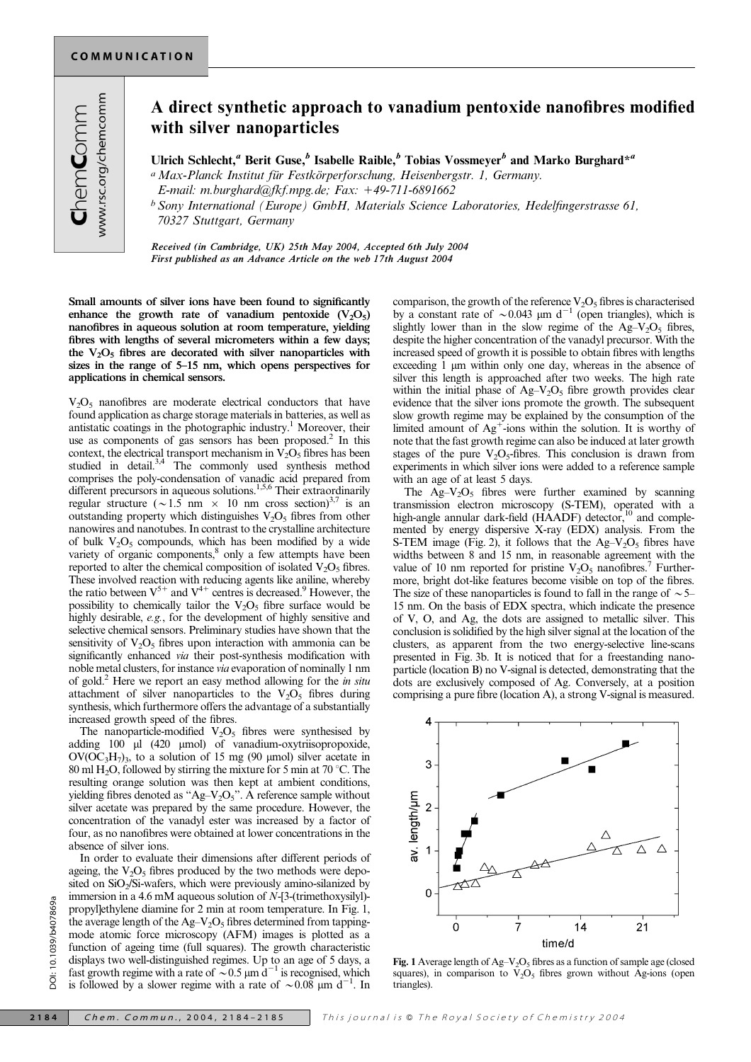## A direct synthetic approach to vanadium pentoxide nanofibres modified with silver nanoparticles

Ulrich Schlecht,<sup>a</sup> Berit Guse,<sup>b</sup> Isabelle Raible,<sup>b</sup> Tobias Vossmeyer<sup>b</sup> and Marko Burghard<sup>\*a</sup>

<sup>a</sup> Max-Planck Institut für Festkörperforschung, Heisenbergstr. 1, Germany.

E-mail: m.burghard@fkf.mpg.de; Fax:  $+49-711-6891662$ 

 $b$  Sony International (Europe) GmbH, Materials Science Laboratories, Hedelfingerstrasse 61, 70327 Stuttgart, Germany

Received (in Cambridge, UK) 25th May 2004, Accepted 6th July 2004 First published as an Advance Article on the web 17th August 2004

Small amounts of silver ions have been found to significantly enhance the growth rate of vanadium pentoxide  $(V_2O_5)$ nanofibres in aqueous solution at room temperature, yielding fibres with lengths of several micrometers within a few days; the  $V_2O_5$  fibres are decorated with silver nanoparticles with sizes in the range of 5–15 nm, which opens perspectives for applications in chemical sensors.

 $V_2O_5$  nanofibres are moderate electrical conductors that have found application as charge storage materials in batteries, as well as antistatic coatings in the photographic industry.<sup>1</sup> Moreover, their use as components of gas sensors has been proposed.<sup>2</sup> In this context, the electrical transport mechanism in  $V_2O_5$  fibres has been studied in detail.<sup>3,4</sup> The commonly used synthesis method comprises the poly-condensation of vanadic acid prepared from different precursors in aqueous solutions.<sup>1,5,6</sup> Their extraordinarily regular structure ( $\sim$ 1.5 nm  $\times$  10 nm cross section)<sup>3,7</sup> is an outstanding property which distinguishes  $V_2O_5$  fibres from other nanowires and nanotubes. In contrast to the crystalline architecture of bulk  $V_2O_5$  compounds, which has been modified by a wide variety of organic components,<sup>8</sup> only a few attempts have been reported to alter the chemical composition of isolated  $V_2O_5$  fibres. These involved reaction with reducing agents like aniline, whereby the ratio between  $V^{5+}$  and  $V^{4+}$  centres is decreased.<sup>9</sup> However, the possibility to chemically tailor the  $V_2O_5$  fibre surface would be highly desirable, e.g., for the development of highly sensitive and selective chemical sensors. Preliminary studies have shown that the sensitivity of  $V_2O_5$  fibres upon interaction with ammonia can be significantly enhanced via their post-synthesis modification with noble metal clusters, for instance via evaporation of nominally 1 nm of gold.<sup>2</sup> Here we report an easy method allowing for the *in situ* attachment of silver nanoparticles to the  $V_2O_5$  fibres during synthesis, which furthermore offers the advantage of a substantially increased growth speed of the fibres.

The nanoparticle-modified  $V_2O_5$  fibres were synthesised by adding 100 µl (420 µmol) of vanadium-oxytriisopropoxide,  $\rm OV({\rm OC}_3H_7)_3$ , to a solution of 15 mg (90 µmol) silver acetate in 80 ml H<sub>2</sub>O, followed by stirring the mixture for 5 min at 70 °C. The resulting orange solution was then kept at ambient conditions, yielding fibres denoted as " $Ag-V<sub>2</sub>O<sub>5</sub>$ ". A reference sample without silver acetate was prepared by the same procedure. However, the concentration of the vanadyl ester was increased by a factor of four, as no nanofibres were obtained at lower concentrations in the absence of silver ions.

In order to evaluate their dimensions after different periods of ageing, the  $V_2O_5$  fibres produced by the two methods were deposited on SiO<sub>2</sub>/Si-wafers, which were previously amino-silanized by immersion in a 4.6 mM aqueous solution of N-[3-(trimethoxysilyl) propyl]ethylene diamine for 2 min at room temperature. In Fig. 1, the average length of the  $Ag-V_2O_5$  fibres determined from tappingmode atomic force microscopy (AFM) images is plotted as a function of ageing time (full squares). The growth characteristic displays two well-distinguished regimes. Up to an age of 5 days, a fast growth regime with a rate of  $\sim 0.5 \mu m d^{-1}$  is recognised, which is followed by a slower regime with a rate of  $\sim 0.08$  µm d<sup>-1</sup>. In

comparison, the growth of the reference  $V_2O_5$  fibres is characterised by a constant rate of  $\sim 0.043$  µm d<sup>-1</sup> (open triangles), which is slightly lower than in the slow regime of the  $Ag-V<sub>2</sub>O<sub>5</sub>$  fibres, despite the higher concentration of the vanadyl precursor. With the increased speed of growth it is possible to obtain fibres with lengths exceeding 1 um within only one day, whereas in the absence of silver this length is approached after two weeks. The high rate within the initial phase of  $Ag-V<sub>2</sub>O<sub>5</sub>$  fibre growth provides clear evidence that the silver ions promote the growth. The subsequent slow growth regime may be explained by the consumption of the limited amount of  $Ag^+$ -ions within the solution. It is worthy of note that the fast growth regime can also be induced at later growth stages of the pure  $V_2O_5$ -fibres. This conclusion is drawn from experiments in which silver ions were added to a reference sample with an age of at least 5 days.

The  $\text{Ag}-\text{V}_2\text{O}_5$  fibres were further examined by scanning transmission electron microscopy (S-TEM), operated with a high-angle annular dark-field (HAADF) detector,<sup>10</sup> and complemented by energy dispersive X-ray (EDX) analysis. From the S-TEM image (Fig. 2), it follows that the  $Ag-V<sub>2</sub>O<sub>5</sub>$  fibres have widths between 8 and 15 nm, in reasonable agreement with the value of 10 nm reported for pristine  $V_2O_5$  nanofibres.<sup>7</sup> Furthermore, bright dot-like features become visible on top of the fibres. The size of these nanoparticles is found to fall in the range of  $\sim$  5– 15 nm. On the basis of EDX spectra, which indicate the presence of V, O, and Ag, the dots are assigned to metallic silver. This conclusion is solidified by the high silver signal at the location of the clusters, as apparent from the two energy-selective line-scans presented in Fig. 3b. It is noticed that for a freestanding nanoparticle (location B) no V-signal is detected, demonstrating that the dots are exclusively composed of Ag. Conversely, at a position comprising a pure fibre (location A), a strong V-signal is measured.



Fig. 1 Average length of  $Ag-V_2O_5$  fibres as a function of sample age (closed squares), in comparison to  $V_2O_5$  fibres grown without Ag-ions (open triangles).